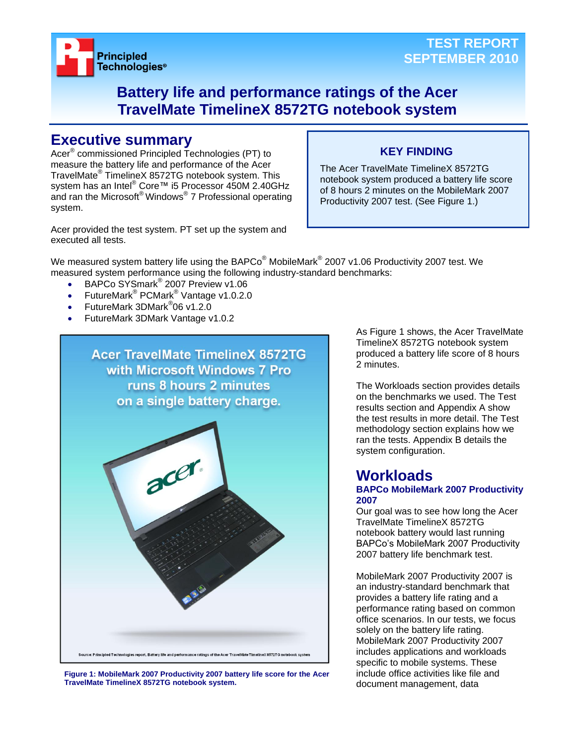

# **Battery life and performance ratings of the Acer TravelMate TimelineX 8572TG notebook system**

### **Executive summary**

Acer® commissioned Principled Technologies (PT) to measure the battery life and performance of the Acer TravelMate® TimelineX 8572TG notebook system. This system has an Intel<sup>®</sup> Core™ i5 Processor 450M 2.40GHz and ran the Microsoft® Windows® 7 Professional operating system.

### **KEY FINDING**

The Acer TravelMate TimelineX 8572TG notebook system produced a battery life score of 8 hours 2 minutes on the MobileMark 2007 Productivity 2007 test. (See Figure 1.)

Acer provided the test system. PT set up the system and executed all tests.

We measured system battery life using the BAPCo $^\circ$  MobileMark $^\circ$  2007 v1.06 Productivity 2007 test. We measured system performance using the following industry-standard benchmarks:

- BAPCo SYSmark<sup>®</sup> 2007 Preview v1.06
- FutureMark® PCMark® Vantage v1.0.2.0
- FutureMark 3DMark<sup>®</sup>06 v1.2.0
- FutureMark 3DMark Vantage v1.0.2



**Figure 1: MobileMark 2007 Productivity 2007 battery life score for the Acer TravelMate TimelineX 8572TG notebook system.**

As Figure 1 shows, the Acer TravelMate TimelineX 8572TG notebook system produced a battery life score of 8 hours 2 minutes.

The Workloads section provides details on the benchmarks we used. The Test results section and Appendix A show the test results in more detail. The Test methodology section explains how we ran the tests. Appendix B details the system configuration.

## **Workloads**

#### **BAPCo MobileMark 2007 Productivity 2007**

Our goal was to see how long the Acer TravelMate TimelineX 8572TG notebook battery would last running BAPCo's MobileMark 2007 Productivity 2007 battery life benchmark test.

MobileMark 2007 Productivity 2007 is an industry-standard benchmark that provides a battery life rating and a performance rating based on common office scenarios. In our tests, we focus solely on the battery life rating. MobileMark 2007 Productivity 2007 includes applications and workloads specific to mobile systems. These include office activities like file and document management, data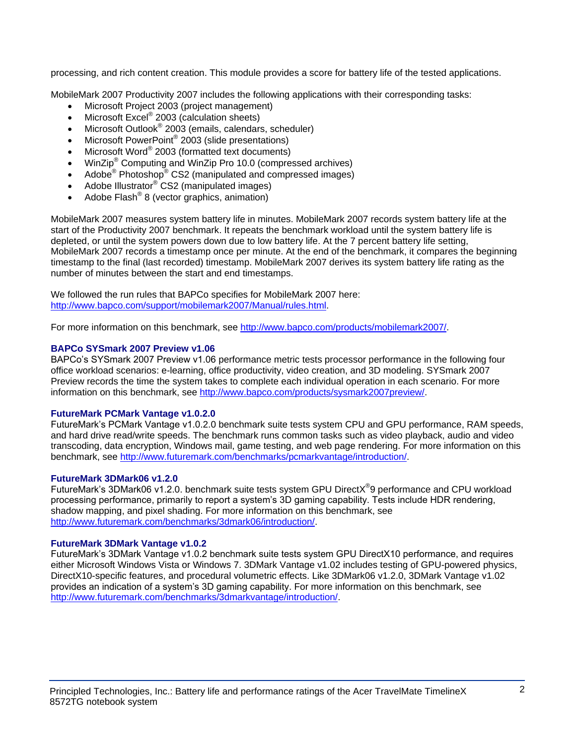processing, and rich content creation. This module provides a score for battery life of the tested applications.

MobileMark 2007 Productivity 2007 includes the following applications with their corresponding tasks:

- Microsoft Project 2003 (project management)
- Microsoft Excel<sup>®</sup> 2003 (calculation sheets)
- Microsoft Outlook<sup>®</sup> 2003 (emails, calendars, scheduler)
- Microsoft PowerPoint® 2003 (slide presentations)
- Microsoft Word® 2003 (formatted text documents)
- WinZip® Computing and WinZip Pro 10.0 (compressed archives)
- Adobe® Photoshop® CS2 (manipulated and compressed images)
- Adobe Illustrator® CS2 (manipulated images)
- $\bullet$  Adobe Flash<sup>®</sup> 8 (vector graphics, animation)

MobileMark 2007 measures system battery life in minutes. MobileMark 2007 records system battery life at the start of the Productivity 2007 benchmark. It repeats the benchmark workload until the system battery life is depleted, or until the system powers down due to low battery life. At the 7 percent battery life setting, MobileMark 2007 records a timestamp once per minute. At the end of the benchmark, it compares the beginning timestamp to the final (last recorded) timestamp. MobileMark 2007 derives its system battery life rating as the number of minutes between the start and end timestamps.

We followed the run rules that BAPCo specifies for MobileMark 2007 here: [http://www.bapco.com/support/mobilemark2007/Manual/rules.html.](http://www.bapco.com/support/mobilemark2007/Manual/rules.html)

For more information on this benchmark, see [http://www.bapco.com/products/mobilemark2007/.](http://www.bapco.com/products/mobilemark2007/)

#### **BAPCo SYSmark 2007 Preview v1.06**

BAPCo's SYSmark 2007 Preview v1.06 performance metric tests processor performance in the following four office workload scenarios: e-learning, office productivity, video creation, and 3D modeling. SYSmark 2007 Preview records the time the system takes to complete each individual operation in each scenario. For more information on this benchmark, see [http://www.bapco.com/products/sysmark2007preview/.](http://www.bapco.com/products/sysmark2007preview/)

#### **FutureMark PCMark Vantage v1.0.2.0**

FutureMark's PCMark Vantage v1.0.2.0 benchmark suite tests system CPU and GPU performance, RAM speeds, and hard drive read/write speeds. The benchmark runs common tasks such as video playback, audio and video transcoding, data encryption, Windows mail, game testing, and web page rendering. For more information on this benchmark, see [http://www.futuremark.com/benchmarks/pcmarkvantage/introduction/.](http://www.futuremark.com/benchmarks/pcmarkvantage/introduction/)

#### **FutureMark 3DMark06 v1.2.0**

FutureMark's 3DMark06 v1.2.0. benchmark suite tests system GPU DirectX<sup>®</sup>9 performance and CPU workload processing performance, primarily to report a system's 3D gaming capability. Tests include HDR rendering, shadow mapping, and pixel shading. For more information on this benchmark, see [http://www.futuremark.com/benchmarks/3dmark06/introduction/.](http://www.futuremark.com/benchmarks/3dmark06/introduction/)

#### **FutureMark 3DMark Vantage v1.0.2**

FutureMark's 3DMark Vantage v1.0.2 benchmark suite tests system GPU DirectX10 performance, and requires either Microsoft Windows Vista or Windows 7. 3DMark Vantage v1.02 includes testing of GPU-powered physics, DirectX10-specific features, and procedural volumetric effects. Like 3DMark06 v1.2.0, 3DMark Vantage v1.02 provides an indication of a system's 3D gaming capability. For more information on this benchmark, see [http://www.futuremark.com/benchmarks/3dmarkvantage/introduction/.](http://www.futuremark.com/benchmarks/3dmarkvantage/introduction/)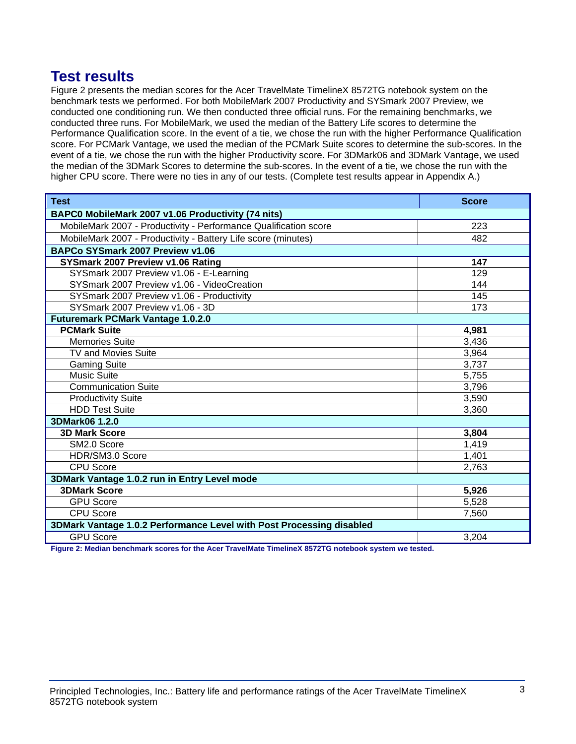## **Test results**

Figure 2 presents the median scores for the Acer TravelMate TimelineX 8572TG notebook system on the benchmark tests we performed. For both MobileMark 2007 Productivity and SYSmark 2007 Preview, we conducted one conditioning run. We then conducted three official runs. For the remaining benchmarks, we conducted three runs. For MobileMark, we used the median of the Battery Life scores to determine the Performance Qualification score. In the event of a tie, we chose the run with the higher Performance Qualification score. For PCMark Vantage, we used the median of the PCMark Suite scores to determine the sub-scores. In the event of a tie, we chose the run with the higher Productivity score. For 3DMark06 and 3DMark Vantage, we used the median of the 3DMark Scores to determine the sub-scores. In the event of a tie, we chose the run with the higher CPU score. There were no ties in any of our tests. (Complete test results appear in Appendix A.)

| <b>Test</b>                                                          | <b>Score</b> |
|----------------------------------------------------------------------|--------------|
| BAPC0 MobileMark 2007 v1.06 Productivity (74 nits)                   |              |
| MobileMark 2007 - Productivity - Performance Qualification score     | 223          |
| MobileMark 2007 - Productivity - Battery Life score (minutes)        | 482          |
| BAPCo SYSmark 2007 Preview v1.06                                     |              |
| SYSmark 2007 Preview v1.06 Rating                                    | 147          |
| SYSmark 2007 Preview v1.06 - E-Learning                              | 129          |
| SYSmark 2007 Preview v1.06 - VideoCreation                           | 144          |
| SYSmark 2007 Preview v1.06 - Productivity                            | 145          |
| SYSmark 2007 Preview v1.06 - 3D                                      | 173          |
| <b>Futuremark PCMark Vantage 1.0.2.0</b>                             |              |
| <b>PCMark Suite</b>                                                  | 4,981        |
| <b>Memories Suite</b>                                                | 3,436        |
| <b>TV and Movies Suite</b>                                           | 3,964        |
| <b>Gaming Suite</b>                                                  | 3,737        |
| <b>Music Suite</b>                                                   | 5,755        |
| <b>Communication Suite</b>                                           | 3,796        |
| <b>Productivity Suite</b>                                            | 3,590        |
| <b>HDD Test Suite</b>                                                | 3,360        |
| 3DMark06 1.2.0                                                       |              |
| <b>3D Mark Score</b>                                                 | 3,804        |
| SM2.0 Score                                                          | 1,419        |
| HDR/SM3.0 Score                                                      | 1,401        |
| <b>CPU Score</b>                                                     | 2,763        |
| 3DMark Vantage 1.0.2 run in Entry Level mode                         |              |
| <b>3DMark Score</b>                                                  | 5,926        |
| <b>GPU Score</b>                                                     | 5,528        |
| <b>CPU Score</b>                                                     | 7,560        |
| 3DMark Vantage 1.0.2 Performance Level with Post Processing disabled |              |
| <b>GPU Score</b>                                                     | 3,204        |

**Figure 2: Median benchmark scores for the Acer TravelMate TimelineX 8572TG notebook system we tested.**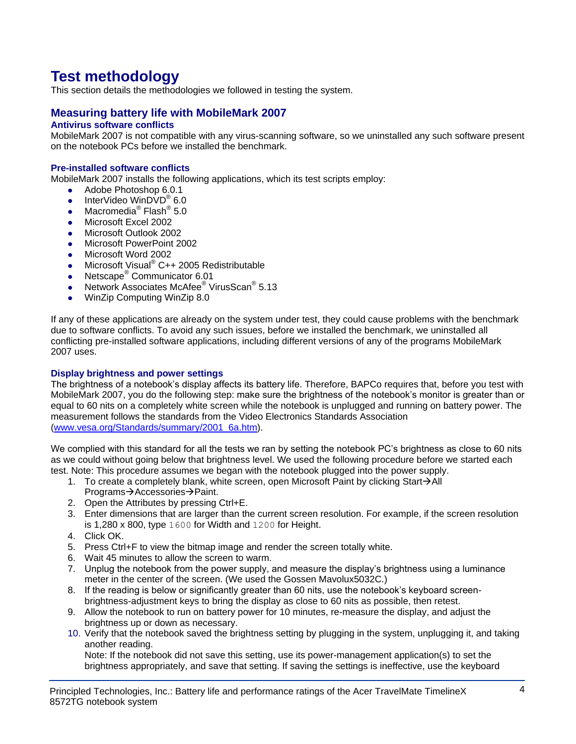# **Test methodology**

This section details the methodologies we followed in testing the system.

### **Measuring battery life with MobileMark 2007**

#### **Antivirus software conflicts**

MobileMark 2007 is not compatible with any virus-scanning software, so we uninstalled any such software present on the notebook PCs before we installed the benchmark.

#### **Pre-installed software conflicts**

MobileMark 2007 installs the following applications, which its test scripts employ:

- Adobe Photoshop 6.0.1
- InterVideo WinDVD<sup>®</sup> 6.0
- Macromedia® Flash® 5.0
- Microsoft Excel 2002
- Microsoft Outlook 2002
- **Microsoft PowerPoint 2002**
- Microsoft Word 2002
- Microsoft Visual<sup>®</sup> C++ 2005 Redistributable
- Netscape<sup>®</sup> Communicator 6.01
- Network Associates McAfee<sup>®</sup> VirusScan<sup>®</sup> 5.13
- WinZip Computing WinZip 8.0

If any of these applications are already on the system under test, they could cause problems with the benchmark due to software conflicts. To avoid any such issues, before we installed the benchmark, we uninstalled all conflicting pre-installed software applications, including different versions of any of the programs MobileMark 2007 uses.

#### **Display brightness and power settings**

The brightness of a notebook's display affects its battery life. Therefore, BAPCo requires that, before you test with MobileMark 2007, you do the following step: make sure the brightness of the notebook's monitor is greater than or equal to 60 nits on a completely white screen while the notebook is unplugged and running on battery power. The measurement follows the standards from the Video Electronics Standards Association [\(www.vesa.org/Standards/summary/2001\\_6a.htm\)](http://www.vesa.org/Standards/summary/2001_6a.htm).

We complied with this standard for all the tests we ran by setting the notebook PC's brightness as close to 60 nits as we could without going below that brightness level. We used the following procedure before we started each test. Note: This procedure assumes we began with the notebook plugged into the power supply.

- 1. To create a completely blank, white screen, open Microsoft Paint by clicking Start $\rightarrow$ All Programs→Accessories→Paint.
- 2. Open the Attributes by pressing Ctrl+E.
- 3. Enter dimensions that are larger than the current screen resolution. For example, if the screen resolution is 1,280 x 800, type 1600 for Width and 1200 for Height.
- 4. Click OK.
- 5. Press Ctrl+F to view the bitmap image and render the screen totally white.
- 6. Wait 45 minutes to allow the screen to warm.
- 7. Unplug the notebook from the power supply, and measure the display's brightness using a luminance meter in the center of the screen. (We used the Gossen Mavolux5032C.)
- 8. If the reading is below or significantly greater than 60 nits, use the notebook's keyboard screenbrightness-adjustment keys to bring the display as close to 60 nits as possible, then retest.
- 9. Allow the notebook to run on battery power for 10 minutes, re-measure the display, and adjust the brightness up or down as necessary.
- 10. Verify that the notebook saved the brightness setting by plugging in the system, unplugging it, and taking another reading.

Note: If the notebook did not save this setting, use its power-management application(s) to set the brightness appropriately, and save that setting. If saving the settings is ineffective, use the keyboard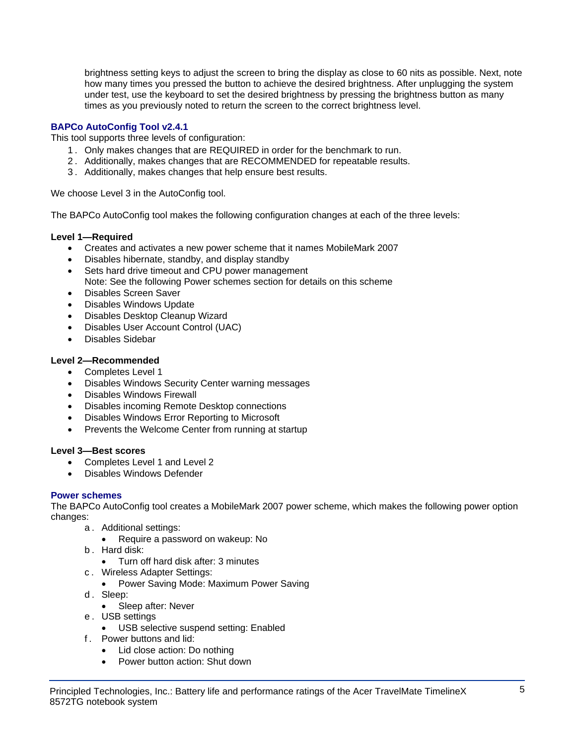brightness setting keys to adjust the screen to bring the display as close to 60 nits as possible. Next, note how many times you pressed the button to achieve the desired brightness. After unplugging the system under test, use the keyboard to set the desired brightness by pressing the brightness button as many times as you previously noted to return the screen to the correct brightness level.

### **BAPCo AutoConfig Tool v2.4.1**

This tool supports three levels of configuration:

- 1 . Only makes changes that are REQUIRED in order for the benchmark to run.
- 2 . Additionally, makes changes that are RECOMMENDED for repeatable results.
- 3 . Additionally, makes changes that help ensure best results.

We choose Level 3 in the AutoConfig tool.

The BAPCo AutoConfig tool makes the following configuration changes at each of the three levels:

#### **Level 1—Required**

- Creates and activates a new power scheme that it names MobileMark 2007
- Disables hibernate, standby, and display standby
- Sets hard drive timeout and CPU power management Note: See the following Power schemes section for details on this scheme
- Disables Screen Saver
- Disables Windows Update
- Disables Desktop Cleanup Wizard
- Disables User Account Control (UAC)
- Disables Sidebar

#### **Level 2—Recommended**

- Completes Level 1
- Disables Windows Security Center warning messages
- Disables Windows Firewall
- Disables incoming Remote Desktop connections
- Disables Windows Error Reporting to Microsoft
- Prevents the Welcome Center from running at startup

#### **Level 3—Best scores**

- Completes Level 1 and Level 2
- Disables Windows Defender

#### **Power schemes**

The BAPCo AutoConfig tool creates a MobileMark 2007 power scheme, which makes the following power option changes:

- a . Additional settings:
	- Require a password on wakeup: No
- b . Hard disk:
	- Turn off hard disk after: 3 minutes
- c . Wireless Adapter Settings:
	- Power Saving Mode: Maximum Power Saving
- d. Sleep:
	- Sleep after: Never
- e . USB settings
	- USB selective suspend setting: Enabled
- f . Power buttons and lid:
	- Lid close action: Do nothing
	- Power button action: Shut down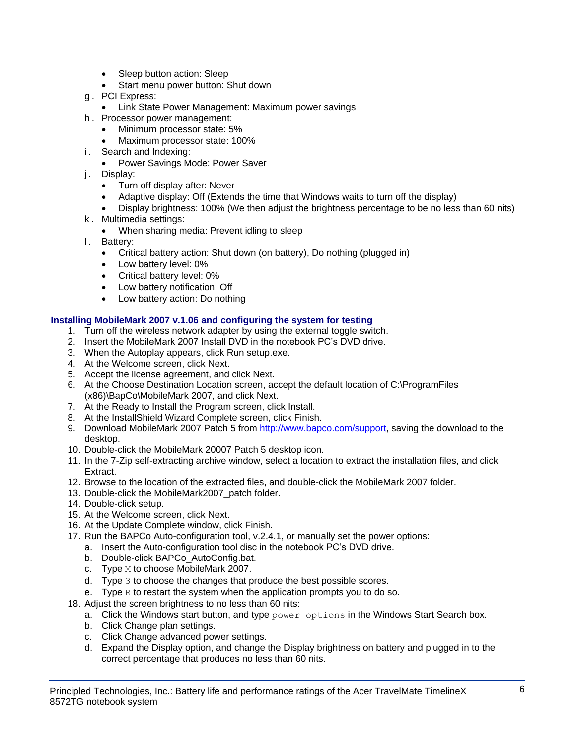- Sleep button action: Sleep
- Start menu power button: Shut down
- g . PCI Express:
	- **Link State Power Management: Maximum power savings**
- h . Processor power management:
	- Minimum processor state: 5%
	- Maximum processor state: 100%
- i. Search and Indexing:
	- Power Savings Mode: Power Saver
- j. Display:
	- Turn off display after: Never
	- Adaptive display: Off (Extends the time that Windows waits to turn off the display)
	- Display brightness: 100% (We then adjust the brightness percentage to be no less than 60 nits)
- k . Multimedia settings:
	- When sharing media: Prevent idling to sleep
- l. Battery:
	- Critical battery action: Shut down (on battery), Do nothing (plugged in)
	- Low battery level: 0%
	- Critical battery level: 0%
	- Low battery notification: Off
	- Low battery action: Do nothing

#### **Installing MobileMark 2007 v.1.06 and configuring the system for testing**

- 1. Turn off the wireless network adapter by using the external toggle switch.
- 2. Insert the MobileMark 2007 Install DVD in the notebook PC's DVD drive.
- 3. When the Autoplay appears, click Run setup.exe.
- 4. At the Welcome screen, click Next.
- 5. Accept the license agreement, and click Next.
- 6. At the Choose Destination Location screen, accept the default location of C:\ProgramFiles (x86)\BapCo\MobileMark 2007, and click Next.
- 7. At the Ready to Install the Program screen, click Install.
- 8. At the InstallShield Wizard Complete screen, click Finish.
- 9. Download MobileMark 2007 Patch 5 from [http://www.bapco.com/support,](http://www.bapco.com/support) saving the download to the desktop.
- 10. Double-click the MobileMark 20007 Patch 5 desktop icon.
- 11. In the 7-Zip self-extracting archive window, select a location to extract the installation files, and click Extract.
- 12. Browse to the location of the extracted files, and double-click the MobileMark 2007 folder.
- 13. Double-click the MobileMark2007\_patch folder.
- 14. Double-click setup.
- 15. At the Welcome screen, click Next.
- 16. At the Update Complete window, click Finish.
- 17. Run the BAPCo Auto-configuration tool, v.2.4.1, or manually set the power options:
	- a. Insert the Auto-configuration tool disc in the notebook PC's DVD drive.
	- b. Double-click BAPCo\_AutoConfig.bat.
	- c. Type M to choose MobileMark 2007.
	- d. Type 3 to choose the changes that produce the best possible scores.
	- e. Type  $R$  to restart the system when the application prompts you to do so.
- 18. Adjust the screen brightness to no less than 60 nits:
	- a. Click the Windows start button, and type  $power$  options in the Windows Start Search box.
	- b. Click Change plan settings.
	- c. Click Change advanced power settings.
	- d. Expand the Display option, and change the Display brightness on battery and plugged in to the correct percentage that produces no less than 60 nits.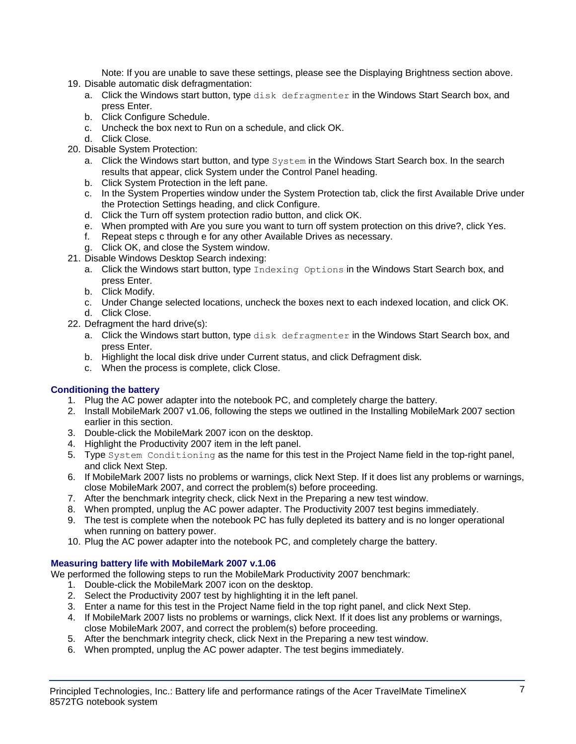Note: If you are unable to save these settings, please see the Displaying Brightness section above.

- 19. Disable automatic disk defragmentation:
	- a. Click the Windows start button, type disk defragmenter in the Windows Start Search box, and press Enter.
	- b. Click Configure Schedule.
	- c. Uncheck the box next to Run on a schedule, and click OK.
	- d. Click Close.
- 20. Disable System Protection:
	- a. Click the Windows start button, and type  $System$  in the Windows Start Search box. In the search results that appear, click System under the Control Panel heading.
	- b. Click System Protection in the left pane.
	- c. In the System Properties window under the System Protection tab, click the first Available Drive under the Protection Settings heading, and click Configure.
	- d. Click the Turn off system protection radio button, and click OK.
	- e. When prompted with Are you sure you want to turn off system protection on this drive?, click Yes.
	- f. Repeat steps c through e for any other Available Drives as necessary.
	- g. Click OK, and close the System window.
- 21. Disable Windows Desktop Search indexing:
	- a. Click the Windows start button, type Indexing Options in the Windows Start Search box, and press Enter.
	- b. Click Modify.
	- c. Under Change selected locations, uncheck the boxes next to each indexed location, and click OK. d. Click Close.
- 22. Defragment the hard drive(s):
	- a. Click the Windows start button, type disk defragmenter in the Windows Start Search box, and press Enter.
	- b. Highlight the local disk drive under Current status, and click Defragment disk.
	- c. When the process is complete, click Close.

#### **Conditioning the battery**

- 1. Plug the AC power adapter into the notebook PC, and completely charge the battery.
- 2. Install MobileMark 2007 v1.06, following the steps we outlined in the Installing MobileMark 2007 section earlier in this section.
- 3. Double-click the MobileMark 2007 icon on the desktop.
- 4. Highlight the Productivity 2007 item in the left panel.
- 5. Type System Conditioning as the name for this test in the Project Name field in the top-right panel, and click Next Step.
- 6. If MobileMark 2007 lists no problems or warnings, click Next Step. If it does list any problems or warnings, close MobileMark 2007, and correct the problem(s) before proceeding.
- 7. After the benchmark integrity check, click Next in the Preparing a new test window.
- 8. When prompted, unplug the AC power adapter. The Productivity 2007 test begins immediately.
- 9. The test is complete when the notebook PC has fully depleted its battery and is no longer operational when running on battery power.
- 10. Plug the AC power adapter into the notebook PC, and completely charge the battery.

#### **Measuring battery life with MobileMark 2007 v.1.06**

We performed the following steps to run the MobileMark Productivity 2007 benchmark:

- 1. Double-click the MobileMark 2007 icon on the desktop.
- 2. Select the Productivity 2007 test by highlighting it in the left panel.
- 3. Enter a name for this test in the Project Name field in the top right panel, and click Next Step.
- 4. If MobileMark 2007 lists no problems or warnings, click Next. If it does list any problems or warnings, close MobileMark 2007, and correct the problem(s) before proceeding.
- 5. After the benchmark integrity check, click Next in the Preparing a new test window.
- 6. When prompted, unplug the AC power adapter. The test begins immediately.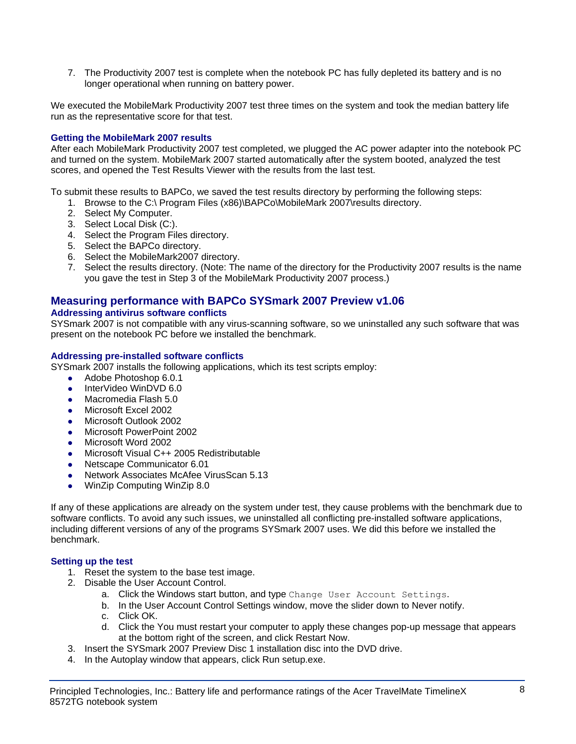7. The Productivity 2007 test is complete when the notebook PC has fully depleted its battery and is no longer operational when running on battery power.

We executed the MobileMark Productivity 2007 test three times on the system and took the median battery life run as the representative score for that test.

#### **Getting the MobileMark 2007 results**

After each MobileMark Productivity 2007 test completed, we plugged the AC power adapter into the notebook PC and turned on the system. MobileMark 2007 started automatically after the system booted, analyzed the test scores, and opened the Test Results Viewer with the results from the last test.

To submit these results to BAPCo, we saved the test results directory by performing the following steps:

- 1. Browse to the C:\ Program Files (x86)\BAPCo\MobileMark 2007\results directory.
- 2. Select My Computer.
- 3. Select Local Disk (C:).
- 4. Select the Program Files directory.
- 5. Select the BAPCo directory.
- 6. Select the MobileMark2007 directory.
- 7. Select the results directory. (Note: The name of the directory for the Productivity 2007 results is the name you gave the test in Step 3 of the MobileMark Productivity 2007 process.)

### **Measuring performance with BAPCo SYSmark 2007 Preview v1.06**

#### **Addressing antivirus software conflicts**

SYSmark 2007 is not compatible with any virus-scanning software, so we uninstalled any such software that was present on the notebook PC before we installed the benchmark.

#### **Addressing pre-installed software conflicts**

SYSmark 2007 installs the following applications, which its test scripts employ:

- Adobe Photoshop 6.0.1
- InterVideo WinDVD 6.0
- Macromedia Flash 5.0
- Microsoft Excel 2002
- Microsoft Outlook 2002
- Microsoft PowerPoint 2002
- Microsoft Word 2002
- Microsoft Visual C++ 2005 Redistributable
- Netscape Communicator 6.01
- Network Associates McAfee VirusScan 5.13
- WinZip Computing WinZip 8.0

If any of these applications are already on the system under test, they cause problems with the benchmark due to software conflicts. To avoid any such issues, we uninstalled all conflicting pre-installed software applications, including different versions of any of the programs SYSmark 2007 uses. We did this before we installed the benchmark.

#### **Setting up the test**

- 1. Reset the system to the base test image.
- 2. Disable the User Account Control.
	- a. Click the Windows start button, and type Change User Account Settings.
	- b. In the User Account Control Settings window, move the slider down to Never notify.
	- c. Click OK.
	- d. Click the You must restart your computer to apply these changes pop-up message that appears at the bottom right of the screen, and click Restart Now.
- 3. Insert the SYSmark 2007 Preview Disc 1 installation disc into the DVD drive.
- 4. In the Autoplay window that appears, click Run setup.exe.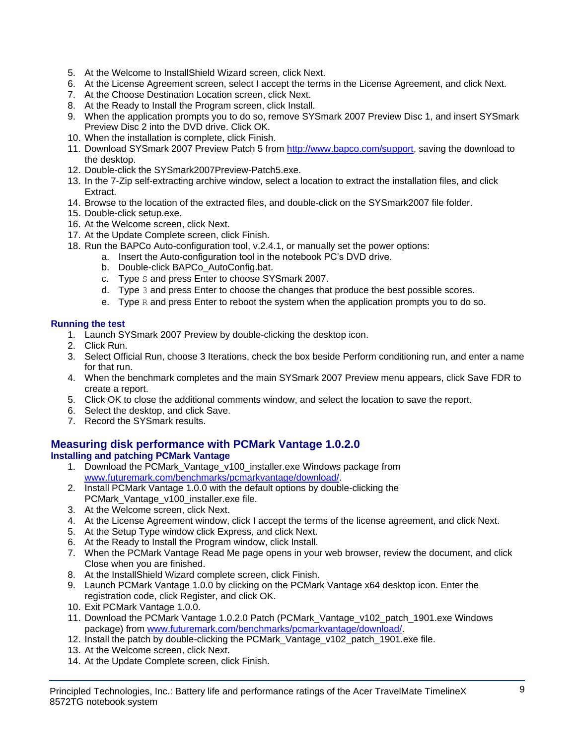- 5. At the Welcome to InstallShield Wizard screen, click Next.
- 6. At the License Agreement screen, select I accept the terms in the License Agreement, and click Next.
- 7. At the Choose Destination Location screen, click Next.
- 8. At the Ready to Install the Program screen, click Install.
- 9. When the application prompts you to do so, remove SYSmark 2007 Preview Disc 1, and insert SYSmark Preview Disc 2 into the DVD drive. Click OK.
- 10. When the installation is complete, click Finish.
- 11. Download SYSmark 2007 Preview Patch 5 from [http://www.bapco.com/support,](http://www.bapco.com/support) saving the download to the desktop.
- 12. Double-click the SYSmark2007Preview-Patch5.exe.
- 13. In the 7-Zip self-extracting archive window, select a location to extract the installation files, and click **Extract**
- 14. Browse to the location of the extracted files, and double-click on the SYSmark2007 file folder.
- 15. Double-click setup.exe.
- 16. At the Welcome screen, click Next.
- 17. At the Update Complete screen, click Finish.
- 18. Run the BAPCo Auto-configuration tool, v.2.4.1, or manually set the power options:
	- a. Insert the Auto-configuration tool in the notebook PC's DVD drive.
		- b. Double-click BAPCo\_AutoConfig.bat.
		- c. Type S and press Enter to choose SYSmark 2007.
		- d. Type 3 and press Enter to choose the changes that produce the best possible scores.
		- e. Type  $R$  and press Enter to reboot the system when the application prompts you to do so.

#### **Running the test**

- 1. Launch SYSmark 2007 Preview by double-clicking the desktop icon.
- 2. Click Run.
- 3. Select Official Run, choose 3 Iterations, check the box beside Perform conditioning run, and enter a name for that run.
- 4. When the benchmark completes and the main SYSmark 2007 Preview menu appears, click Save FDR to create a report.
- 5. Click OK to close the additional comments window, and select the location to save the report.
- 6. Select the desktop, and click Save.
- 7. Record the SYSmark results.

### **Measuring disk performance with PCMark Vantage 1.0.2.0**

#### **Installing and patching PCMark Vantage**

- 1. Download the PCMark\_Vantage\_v100\_installer.exe Windows package from [www.futuremark.com/benchmarks/pcmarkvantage/download/.](http://www.futuremark.com/benchmarks/pcmarkvantage/download/)
- 2. Install PCMark Vantage 1.0.0 with the default options by double-clicking the PCMark\_Vantage\_v100\_installer.exe file.
- 3. At the Welcome screen, click Next.
- 4. At the License Agreement window, click I accept the terms of the license agreement, and click Next.
- 5. At the Setup Type window click Express, and click Next.
- 6. At the Ready to Install the Program window, click Install.
- 7. When the PCMark Vantage Read Me page opens in your web browser, review the document, and click Close when you are finished.
- 8. At the InstallShield Wizard complete screen, click Finish.
- 9. Launch PCMark Vantage 1.0.0 by clicking on the PCMark Vantage x64 desktop icon. Enter the registration code, click Register, and click OK.
- 10. Exit PCMark Vantage 1.0.0.
- 11. Download the PCMark Vantage 1.0.2.0 Patch (PCMark\_Vantage\_v102\_patch\_1901.exe Windows package) from [www.futuremark.com/benchmarks/pcmarkvantage/download/.](http://www.futuremark.com/benchmarks/pcmarkvantage/download/)
- 12. Install the patch by double-clicking the PCMark Vantage v102 patch 1901.exe file.
- 13. At the Welcome screen, click Next.
- 14. At the Update Complete screen, click Finish.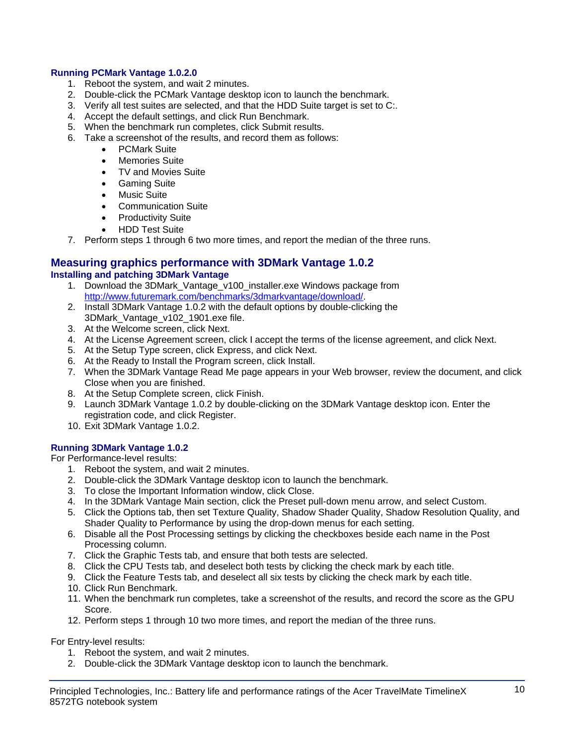#### **Running PCMark Vantage 1.0.2.0**

- 1. Reboot the system, and wait 2 minutes.
- 2. Double-click the PCMark Vantage desktop icon to launch the benchmark.
- 3. Verify all test suites are selected, and that the HDD Suite target is set to C:.
- 4. Accept the default settings, and click Run Benchmark.
- 5. When the benchmark run completes, click Submit results.
- 6. Take a screenshot of the results, and record them as follows:
	- PCMark Suite
	- Memories Suite
	- TV and Movies Suite
	- **•** Gaming Suite
	- Music Suite
	- Communication Suite
	- Productivity Suite
	- HDD Test Suite
- 7. Perform steps 1 through 6 two more times, and report the median of the three runs.

#### **Measuring graphics performance with 3DMark Vantage 1.0.2 Installing and patching 3DMark Vantage**

- 1. Download the 3DMark\_Vantage\_v100\_installer.exe Windows package from [http://www.futuremark.com/benchmarks/3dmarkvantage/download/.](http://www.futuremark.com/benchmarks/3dmarkvantage/download/)
- 2. Install 3DMark Vantage 1.0.2 with the default options by double-clicking the 3DMark\_Vantage\_v102\_1901.exe file.
- 3. At the Welcome screen, click Next.
- 4. At the License Agreement screen, click I accept the terms of the license agreement, and click Next.
- 5. At the Setup Type screen, click Express, and click Next.
- 6. At the Ready to Install the Program screen, click Install.
- 7. When the 3DMark Vantage Read Me page appears in your Web browser, review the document, and click Close when you are finished.
- 8. At the Setup Complete screen, click Finish.
- 9. Launch 3DMark Vantage 1.0.2 by double-clicking on the 3DMark Vantage desktop icon. Enter the registration code, and click Register.
- 10. Exit 3DMark Vantage 1.0.2.

#### **Running 3DMark Vantage 1.0.2**

For Performance-level results:

- 1. Reboot the system, and wait 2 minutes.
- 2. Double-click the 3DMark Vantage desktop icon to launch the benchmark.
- 3. To close the Important Information window, click Close.
- 4. In the 3DMark Vantage Main section, click the Preset pull-down menu arrow, and select Custom.
- 5. Click the Options tab, then set Texture Quality, Shadow Shader Quality, Shadow Resolution Quality, and Shader Quality to Performance by using the drop-down menus for each setting.
- 6. Disable all the Post Processing settings by clicking the checkboxes beside each name in the Post Processing column.
- 7. Click the Graphic Tests tab, and ensure that both tests are selected.
- 8. Click the CPU Tests tab, and deselect both tests by clicking the check mark by each title.
- 9. Click the Feature Tests tab, and deselect all six tests by clicking the check mark by each title.
- 10. Click Run Benchmark.
- 11. When the benchmark run completes, take a screenshot of the results, and record the score as the GPU Score.
- 12. Perform steps 1 through 10 two more times, and report the median of the three runs.

For Entry-level results:

- 1. Reboot the system, and wait 2 minutes.
- 2. Double-click the 3DMark Vantage desktop icon to launch the benchmark.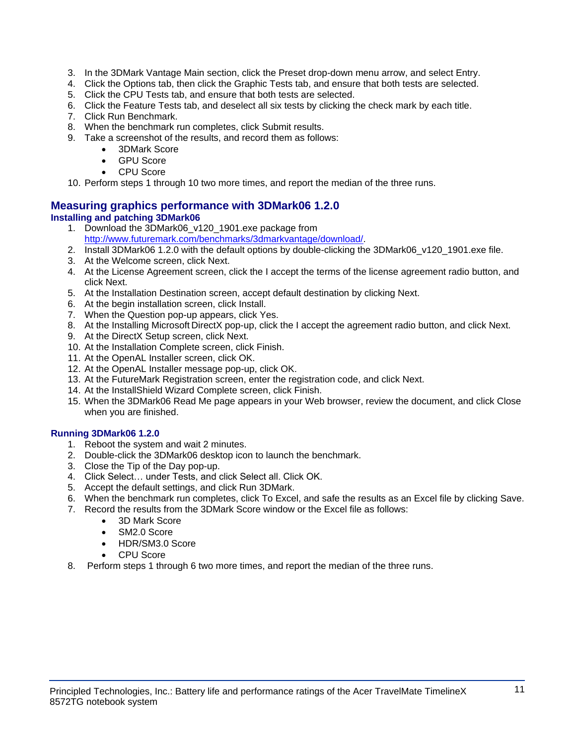- 3. In the 3DMark Vantage Main section, click the Preset drop-down menu arrow, and select Entry.
- 4. Click the Options tab, then click the Graphic Tests tab, and ensure that both tests are selected.
- 5. Click the CPU Tests tab, and ensure that both tests are selected.
- 6. Click the Feature Tests tab, and deselect all six tests by clicking the check mark by each title.
- 7. Click Run Benchmark.
- 8. When the benchmark run completes, click Submit results.
- 9. Take a screenshot of the results, and record them as follows:
	- 3DMark Score
	- GPU Score
	- CPU Score

10. Perform steps 1 through 10 two more times, and report the median of the three runs.

#### **Measuring graphics performance with 3DMark06 1.2.0 Installing and patching 3DMark06**

- 1. Download the 3DMark06 v120 1901.exe package from [http://www.futuremark.com/benchmarks/3dmarkvantage/download/.](http://www.futuremark.com/benchmarks/3dmarkvantage/download/)
- 2. Install 3DMark06 1.2.0 with the default options by double-clicking the 3DMark06 v120 1901.exe file.
- 3. At the Welcome screen, click Next.
- 4. At the License Agreement screen, click the I accept the terms of the license agreement radio button, and click Next.
- 5. At the Installation Destination screen, accept default destination by clicking Next.
- 6. At the begin installation screen, click Install.
- 7. When the Question pop-up appears, click Yes.
- 8. At the Installing Microsoft DirectX pop-up, click the I accept the agreement radio button, and click Next.
- 9. At the DirectX Setup screen, click Next.
- 10. At the Installation Complete screen, click Finish.
- 11. At the OpenAL Installer screen, click OK.
- 12. At the OpenAL Installer message pop-up, click OK.
- 13. At the FutureMark Registration screen, enter the registration code, and click Next.
- 14. At the InstallShield Wizard Complete screen, click Finish.
- 15. When the 3DMark06 Read Me page appears in your Web browser, review the document, and click Close when you are finished.

#### **Running 3DMark06 1.2.0**

- 1. Reboot the system and wait 2 minutes.
- 2. Double-click the 3DMark06 desktop icon to launch the benchmark.
- 3. Close the Tip of the Day pop-up.
- 4. Click Select… under Tests, and click Select all. Click OK.
- 5. Accept the default settings, and click Run 3DMark.
- 6. When the benchmark run completes, click To Excel, and safe the results as an Excel file by clicking Save.
- 7. Record the results from the 3DMark Score window or the Excel file as follows:
	- 3D Mark Score
	- SM2.0 Score
	- HDR/SM3.0 Score
	- CPU Score
- 8. Perform steps 1 through 6 two more times, and report the median of the three runs.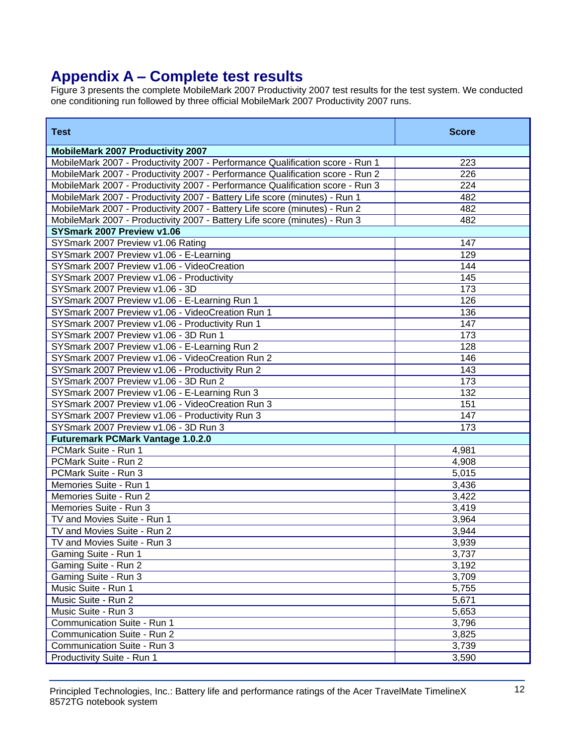# **Appendix A – Complete test results**

Figure 3 presents the complete MobileMark 2007 Productivity 2007 test results for the test system. We conducted one conditioning run followed by three official MobileMark 2007 Productivity 2007 runs.

| <b>Test</b>                                                                   | <b>Score</b> |
|-------------------------------------------------------------------------------|--------------|
| <b>MobileMark 2007 Productivity 2007</b>                                      |              |
| MobileMark 2007 - Productivity 2007 - Performance Qualification score - Run 1 | 223          |
| MobileMark 2007 - Productivity 2007 - Performance Qualification score - Run 2 | 226          |
| MobileMark 2007 - Productivity 2007 - Performance Qualification score - Run 3 | 224          |
| MobileMark 2007 - Productivity 2007 - Battery Life score (minutes) - Run 1    | 482          |
| MobileMark 2007 - Productivity 2007 - Battery Life score (minutes) - Run 2    | 482          |
| MobileMark 2007 - Productivity 2007 - Battery Life score (minutes) - Run 3    | 482          |
| SYSmark 2007 Preview v1.06                                                    |              |
| SYSmark 2007 Preview v1.06 Rating                                             | 147          |
| SYSmark 2007 Preview v1.06 - E-Learning                                       | 129          |
| SYSmark 2007 Preview v1.06 - VideoCreation                                    | 144          |
| SYSmark 2007 Preview v1.06 - Productivity                                     | 145          |
| SYSmark 2007 Preview v1.06 - 3D                                               | 173          |
| SYSmark 2007 Preview v1.06 - E-Learning Run 1                                 | 126          |
| SYSmark 2007 Preview v1.06 - VideoCreation Run 1                              | 136          |
| SYSmark 2007 Preview v1.06 - Productivity Run 1                               | 147          |
| SYSmark 2007 Preview v1.06 - 3D Run 1                                         | 173          |
| SYSmark 2007 Preview v1.06 - E-Learning Run 2                                 | 128          |
| SYSmark 2007 Preview v1.06 - VideoCreation Run 2                              | 146          |
| SYSmark 2007 Preview v1.06 - Productivity Run 2                               | 143          |
| SYSmark 2007 Preview v1.06 - 3D Run 2                                         | 173          |
| SYSmark 2007 Preview v1.06 - E-Learning Run 3                                 | 132          |
| SYSmark 2007 Preview v1.06 - VideoCreation Run 3                              | 151          |
| SYSmark 2007 Preview v1.06 - Productivity Run 3                               | 147          |
| SYSmark 2007 Preview v1.06 - 3D Run 3                                         | 173          |
| <b>Futuremark PCMark Vantage 1.0.2.0</b>                                      |              |
| PCMark Suite - Run 1                                                          | 4,981        |
| PCMark Suite - Run 2                                                          | 4,908        |
| PCMark Suite - Run 3                                                          | 5,015        |
| Memories Suite - Run 1                                                        | 3,436        |
| Memories Suite - Run 2                                                        | 3,422        |
| Memories Suite - Run 3                                                        | 3,419        |
| TV and Movies Suite - Run 1                                                   | 3,964        |
| TV and Movies Suite - Run 2                                                   | 3,944        |
| TV and Movies Suite - Run 3                                                   | 3,939        |
| Gaming Suite - Run 1                                                          | 3,737        |
| Gaming Suite - Run 2                                                          | 3,192        |
| Gaming Suite - Run 3                                                          | 3,709        |
| Music Suite - Run 1                                                           | 5,755        |
| Music Suite - Run 2                                                           | 5,671        |
| Music Suite - Run 3                                                           | 5,653        |
| Communication Suite - Run 1                                                   | 3,796        |
| Communication Suite - Run 2                                                   | 3,825        |
| Communication Suite - Run 3                                                   | 3,739        |
| Productivity Suite - Run 1                                                    | 3,590        |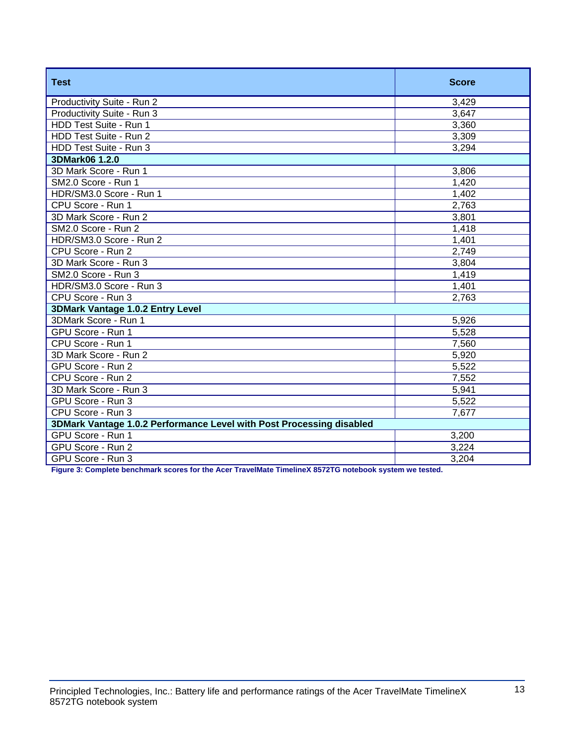| <b>Test</b>                                                          | <b>Score</b> |
|----------------------------------------------------------------------|--------------|
| Productivity Suite - Run 2                                           | 3,429        |
| Productivity Suite - Run 3                                           | 3,647        |
| HDD Test Suite - Run 1                                               | 3,360        |
| HDD Test Suite - Run 2                                               | 3,309        |
| HDD Test Suite - Run 3                                               | 3,294        |
| 3DMark06 1.2.0                                                       |              |
| 3D Mark Score - Run 1                                                | 3,806        |
| SM2.0 Score - Run 1                                                  | 1,420        |
| HDR/SM3.0 Score - Run 1                                              | 1,402        |
| CPU Score - Run 1                                                    | 2,763        |
| 3D Mark Score - Run 2                                                | 3,801        |
| SM2.0 Score - Run 2                                                  | 1,418        |
| HDR/SM3.0 Score - Run 2                                              | 1,401        |
| CPU Score - Run 2                                                    | 2,749        |
| 3D Mark Score - Run 3                                                | 3,804        |
| SM2.0 Score - Run 3                                                  | 1,419        |
| HDR/SM3.0 Score - Run 3                                              | 1,401        |
| CPU Score - Run 3                                                    | 2,763        |
| <b>3DMark Vantage 1.0.2 Entry Level</b>                              |              |
| 3DMark Score - Run 1                                                 | 5,926        |
| GPU Score - Run 1                                                    | 5,528        |
| CPU Score - Run 1                                                    | 7,560        |
| 3D Mark Score - Run 2                                                | 5,920        |
| GPU Score - Run 2                                                    | 5,522        |
| CPU Score - Run 2                                                    | 7,552        |
| 3D Mark Score - Run 3                                                | 5,941        |
| GPU Score - Run 3                                                    | 5,522        |
| CPU Score - Run 3                                                    | 7,677        |
| 3DMark Vantage 1.0.2 Performance Level with Post Processing disabled |              |
| GPU Score - Run 1                                                    | 3,200        |
| GPU Score - Run 2                                                    | 3,224        |
| GPU Score - Run 3                                                    | 3,204        |

**Figure 3: Complete benchmark scores for the Acer TravelMate TimelineX 8572TG notebook system we tested.**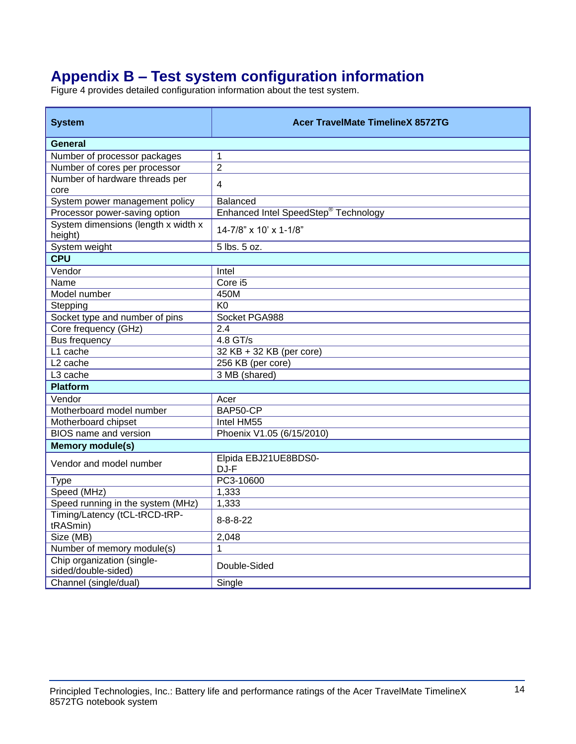# **Appendix B – Test system configuration information**

Figure 4 provides detailed configuration information about the test system.

| <b>System</b>                                     | <b>Acer TravelMate TimelineX 8572TG</b>          |  |
|---------------------------------------------------|--------------------------------------------------|--|
| General                                           |                                                  |  |
| Number of processor packages                      | 1                                                |  |
| Number of cores per processor                     | $\overline{2}$                                   |  |
| Number of hardware threads per<br>core            | $\overline{4}$                                   |  |
| System power management policy                    | <b>Balanced</b>                                  |  |
| Processor power-saving option                     | Enhanced Intel SpeedStep <sup>®</sup> Technology |  |
| System dimensions (length x width x<br>height)    | 14-7/8" x 10' x 1-1/8"                           |  |
| System weight                                     | 5 lbs. 5 oz.                                     |  |
| <b>CPU</b>                                        |                                                  |  |
| Vendor                                            | Intel                                            |  |
| Name                                              | Core i5                                          |  |
| Model number                                      | 450M                                             |  |
| Stepping                                          | K <sub>0</sub>                                   |  |
| Socket type and number of pins                    | Socket PGA988                                    |  |
| Core frequency (GHz)                              | 2.4                                              |  |
| Bus frequency                                     | 4.8 GT/s                                         |  |
| L1 cache                                          | 32 KB + 32 KB (per core)                         |  |
| L <sub>2</sub> cache                              | 256 KB (per core)                                |  |
| L3 cache                                          | 3 MB (shared)                                    |  |
| <b>Platform</b>                                   |                                                  |  |
| Vendor                                            | Acer                                             |  |
| Motherboard model number                          | BAP50-CP                                         |  |
| Motherboard chipset                               | Intel HM55                                       |  |
| <b>BIOS</b> name and version                      | Phoenix V1.05 (6/15/2010)                        |  |
| <b>Memory module(s)</b>                           |                                                  |  |
| Vendor and model number                           | Elpida EBJ21UE8BDS0-<br>DJ-F                     |  |
| Type                                              | PC3-10600                                        |  |
| Speed (MHz)                                       | 1,333                                            |  |
| Speed running in the system (MHz)                 | 1,333                                            |  |
| Timing/Latency (tCL-tRCD-tRP-<br>tRASmin)         | $8 - 8 - 8 - 22$                                 |  |
| Size (MB)                                         | 2,048                                            |  |
| Number of memory module(s)                        | $\mathbf{1}$                                     |  |
| Chip organization (single-<br>sided/double-sided) | Double-Sided                                     |  |
| Channel (single/dual)                             | Single                                           |  |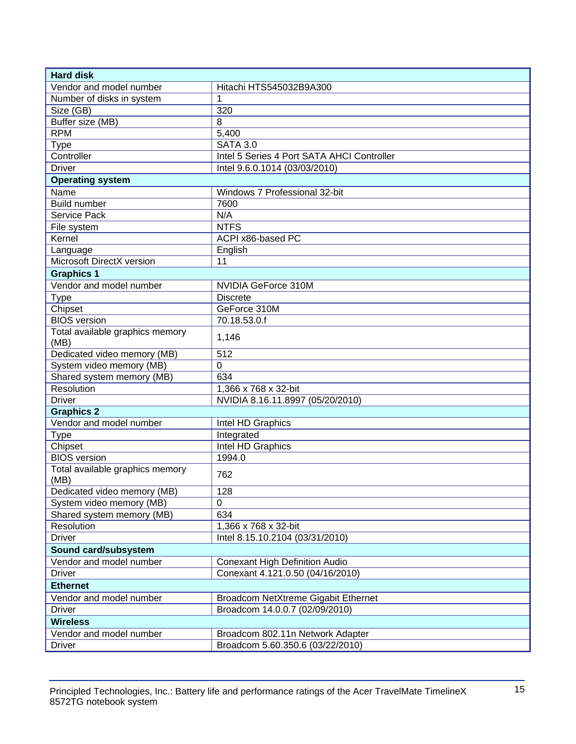| Vendor and model number<br>Hitachi HTS545032B9A300<br>Number of disks in system<br>1<br>320<br>Size (GB)<br>Buffer size (MB)<br>8<br><b>RPM</b><br>5,400<br><b>SATA 3.0</b><br>Type<br>Controller<br>Intel 5 Series 4 Port SATA AHCI Controller |  |  |
|-------------------------------------------------------------------------------------------------------------------------------------------------------------------------------------------------------------------------------------------------|--|--|
|                                                                                                                                                                                                                                                 |  |  |
|                                                                                                                                                                                                                                                 |  |  |
|                                                                                                                                                                                                                                                 |  |  |
|                                                                                                                                                                                                                                                 |  |  |
|                                                                                                                                                                                                                                                 |  |  |
|                                                                                                                                                                                                                                                 |  |  |
|                                                                                                                                                                                                                                                 |  |  |
| <b>Driver</b><br>Intel 9.6.0.1014 (03/03/2010)                                                                                                                                                                                                  |  |  |
| <b>Operating system</b>                                                                                                                                                                                                                         |  |  |
| Name<br>Windows 7 Professional 32-bit                                                                                                                                                                                                           |  |  |
| <b>Build number</b><br>7600                                                                                                                                                                                                                     |  |  |
| N/A<br><b>Service Pack</b>                                                                                                                                                                                                                      |  |  |
| <b>NTFS</b><br>File system                                                                                                                                                                                                                      |  |  |
| Kernel<br>ACPI x86-based PC                                                                                                                                                                                                                     |  |  |
| English<br>Language                                                                                                                                                                                                                             |  |  |
| Microsoft DirectX version<br>11                                                                                                                                                                                                                 |  |  |
| <b>Graphics 1</b>                                                                                                                                                                                                                               |  |  |
| Vendor and model number<br>NVIDIA GeForce 310M                                                                                                                                                                                                  |  |  |
| <b>Discrete</b><br><b>Type</b>                                                                                                                                                                                                                  |  |  |
| Chipset<br>GeForce 310M                                                                                                                                                                                                                         |  |  |
| <b>BIOS</b> version<br>70.18.53.0.f                                                                                                                                                                                                             |  |  |
| Total available graphics memory                                                                                                                                                                                                                 |  |  |
| 1,146<br>(MB)                                                                                                                                                                                                                                   |  |  |
| Dedicated video memory (MB)<br>512                                                                                                                                                                                                              |  |  |
| System video memory (MB)<br>$\Omega$                                                                                                                                                                                                            |  |  |
| Shared system memory (MB)<br>634                                                                                                                                                                                                                |  |  |
| Resolution<br>1,366 x 768 x 32-bit                                                                                                                                                                                                              |  |  |
| <b>Driver</b><br>NVIDIA 8.16.11.8997 (05/20/2010)                                                                                                                                                                                               |  |  |
| <b>Graphics 2</b>                                                                                                                                                                                                                               |  |  |
| Vendor and model number<br>Intel HD Graphics                                                                                                                                                                                                    |  |  |
| Integrated<br><b>Type</b>                                                                                                                                                                                                                       |  |  |
| Intel HD Graphics<br>Chipset                                                                                                                                                                                                                    |  |  |
| <b>BIOS</b> version<br>1994.0                                                                                                                                                                                                                   |  |  |
| Total available graphics memory<br>762<br>(MB)                                                                                                                                                                                                  |  |  |
| Dedicated video memory (MB)<br>128                                                                                                                                                                                                              |  |  |
| $\boldsymbol{0}$<br>System video memory (MB)                                                                                                                                                                                                    |  |  |
| 634<br>Shared system memory (MB)                                                                                                                                                                                                                |  |  |
| Resolution<br>1,366 x 768 x 32-bit                                                                                                                                                                                                              |  |  |
| <b>Driver</b><br>Intel 8.15.10.2104 (03/31/2010)                                                                                                                                                                                                |  |  |
| Sound card/subsystem                                                                                                                                                                                                                            |  |  |
| Vendor and model number<br><b>Conexant High Definition Audio</b>                                                                                                                                                                                |  |  |
| <b>Driver</b><br>Conexant 4.121.0.50 (04/16/2010)                                                                                                                                                                                               |  |  |
| <b>Ethernet</b>                                                                                                                                                                                                                                 |  |  |
| Vendor and model number<br>Broadcom NetXtreme Gigabit Ethernet                                                                                                                                                                                  |  |  |
| <b>Driver</b><br>Broadcom 14.0.0.7 (02/09/2010)                                                                                                                                                                                                 |  |  |
| <b>Wireless</b>                                                                                                                                                                                                                                 |  |  |
| Vendor and model number<br>Broadcom 802.11n Network Adapter                                                                                                                                                                                     |  |  |
| Broadcom 5.60.350.6 (03/22/2010)<br><b>Driver</b>                                                                                                                                                                                               |  |  |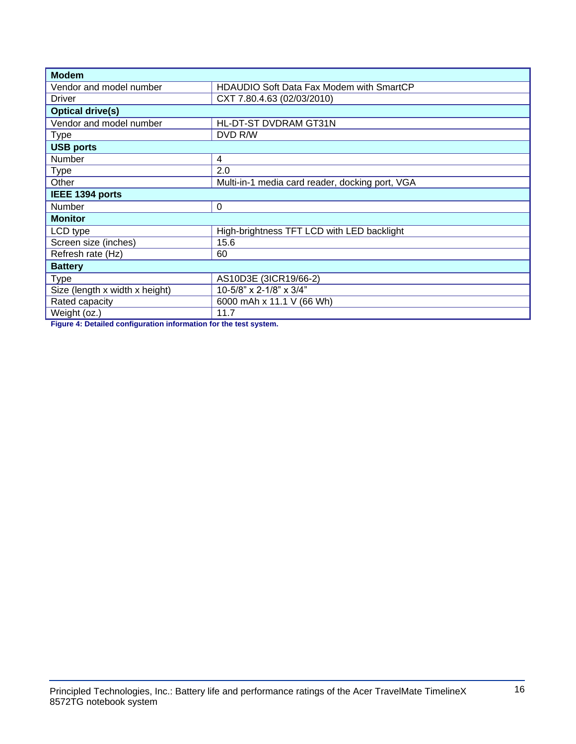| <b>Modem</b>                   |                                                 |  |
|--------------------------------|-------------------------------------------------|--|
| Vendor and model number        | HDAUDIO Soft Data Fax Modem with SmartCP        |  |
| <b>Driver</b>                  | CXT 7.80.4.63 (02/03/2010)                      |  |
| <b>Optical drive(s)</b>        |                                                 |  |
| Vendor and model number        | HL-DT-ST DVDRAM GT31N                           |  |
| <b>Type</b>                    | DVD R/W                                         |  |
| <b>USB ports</b>               |                                                 |  |
| Number                         | 4                                               |  |
| <b>Type</b>                    | 2.0                                             |  |
| Other                          | Multi-in-1 media card reader, docking port, VGA |  |
| IEEE 1394 ports                |                                                 |  |
| Number                         | $\mathbf 0$                                     |  |
| <b>Monitor</b>                 |                                                 |  |
| LCD type                       | High-brightness TFT LCD with LED backlight      |  |
| Screen size (inches)           | 15.6                                            |  |
| Refresh rate (Hz)              | 60                                              |  |
| <b>Battery</b>                 |                                                 |  |
| <b>Type</b>                    | AS10D3E (3ICR19/66-2)                           |  |
| Size (length x width x height) | 10-5/8" x 2-1/8" x 3/4"                         |  |
| Rated capacity                 | 6000 mAh x 11.1 V (66 Wh)                       |  |
| Weight (oz.)                   | 11.7                                            |  |

**Figure 4: Detailed configuration information for the test system.**